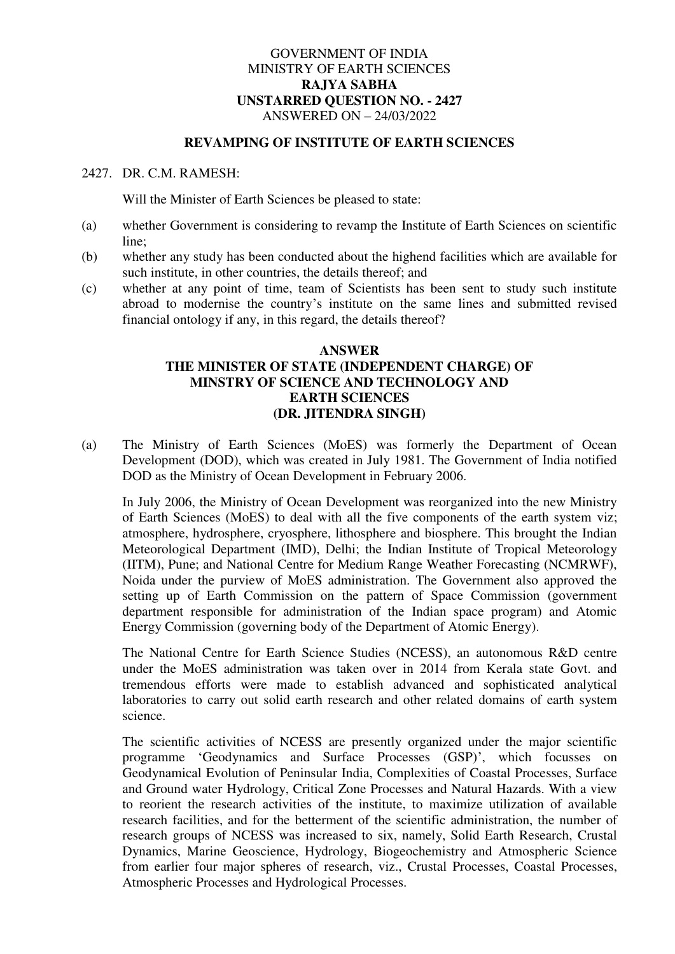## GOVERNMENT OF INDIA MINISTRY OF EARTH SCIENCES **RAJYA SABHA UNSTARRED QUESTION NO. - 2427**  ANSWERED ON – 24/03/2022

## **REVAMPING OF INSTITUTE OF EARTH SCIENCES**

## 2427. DR. C.M. RAMESH:

Will the Minister of Earth Sciences be pleased to state:

- (a) whether Government is considering to revamp the Institute of Earth Sciences on scientific line;
- (b) whether any study has been conducted about the highend facilities which are available for such institute, in other countries, the details thereof; and
- (c) whether at any point of time, team of Scientists has been sent to study such institute abroad to modernise the country's institute on the same lines and submitted revised financial ontology if any, in this regard, the details thereof?

## **ANSWER THE MINISTER OF STATE (INDEPENDENT CHARGE) OF MINSTRY OF SCIENCE AND TECHNOLOGY AND EARTH SCIENCES (DR. JITENDRA SINGH)**

(a) The Ministry of Earth Sciences (MoES) was formerly the Department of Ocean Development (DOD), which was created in July 1981. The Government of India notified DOD as the Ministry of Ocean Development in February 2006.

In July 2006, the Ministry of Ocean Development was reorganized into the new Ministry of Earth Sciences (MoES) to deal with all the five components of the earth system viz; atmosphere, hydrosphere, cryosphere, lithosphere and biosphere. This brought the Indian Meteorological Department (IMD), Delhi; the Indian Institute of Tropical Meteorology (IITM), Pune; and National Centre for Medium Range Weather Forecasting (NCMRWF), Noida under the purview of MoES administration. The Government also approved the setting up of Earth Commission on the pattern of Space Commission (government department responsible for administration of the Indian space program) and Atomic Energy Commission (governing body of the Department of Atomic Energy).

The National Centre for Earth Science Studies (NCESS), an autonomous R&D centre under the MoES administration was taken over in 2014 from Kerala state Govt. and tremendous efforts were made to establish advanced and sophisticated analytical laboratories to carry out solid earth research and other related domains of earth system science.

The scientific activities of NCESS are presently organized under the major scientific programme 'Geodynamics and Surface Processes (GSP)', which focusses on Geodynamical Evolution of Peninsular India, Complexities of Coastal Processes, Surface and Ground water Hydrology, Critical Zone Processes and Natural Hazards. With a view to reorient the research activities of the institute, to maximize utilization of available research facilities, and for the betterment of the scientific administration, the number of research groups of NCESS was increased to six, namely, Solid Earth Research, Crustal Dynamics, Marine Geoscience, Hydrology, Biogeochemistry and Atmospheric Science from earlier four major spheres of research, viz., Crustal Processes, Coastal Processes, Atmospheric Processes and Hydrological Processes.